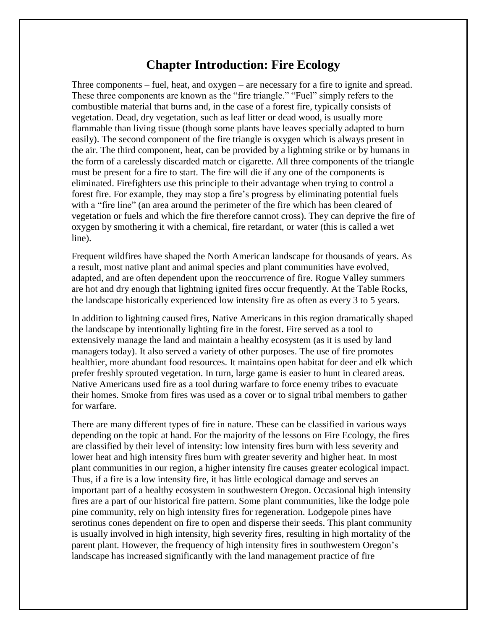# **Chapter Introduction: Fire Ecology**

Three components – fuel, heat, and oxygen – are necessary for a fire to ignite and spread. These three components are known as the "fire triangle." "Fuel" simply refers to the combustible material that burns and, in the case of a forest fire, typically consists of vegetation. Dead, dry vegetation, such as leaf litter or dead wood, is usually more flammable than living tissue (though some plants have leaves specially adapted to burn easily). The second component of the fire triangle is oxygen which is always present in the air. The third component, heat, can be provided by a lightning strike or by humans in the form of a carelessly discarded match or cigarette. All three components of the triangle must be present for a fire to start. The fire will die if any one of the components is eliminated. Firefighters use this principle to their advantage when trying to control a forest fire. For example, they may stop a fire's progress by eliminating potential fuels with a "fire line" (an area around the perimeter of the fire which has been cleared of vegetation or fuels and which the fire therefore cannot cross). They can deprive the fire of oxygen by smothering it with a chemical, fire retardant, or water (this is called a wet line).

Frequent wildfires have shaped the North American landscape for thousands of years. As a result, most native plant and animal species and plant communities have evolved, adapted, and are often dependent upon the reoccurrence of fire. Rogue Valley summers are hot and dry enough that lightning ignited fires occur frequently. At the Table Rocks, the landscape historically experienced low intensity fire as often as every 3 to 5 years.

In addition to lightning caused fires, Native Americans in this region dramatically shaped the landscape by intentionally lighting fire in the forest. Fire served as a tool to extensively manage the land and maintain a healthy ecosystem (as it is used by land managers today). It also served a variety of other purposes. The use of fire promotes healthier, more abundant food resources. It maintains open habitat for deer and elk which prefer freshly sprouted vegetation. In turn, large game is easier to hunt in cleared areas. Native Americans used fire as a tool during warfare to force enemy tribes to evacuate their homes. Smoke from fires was used as a cover or to signal tribal members to gather for warfare.

There are many different types of fire in nature. These can be classified in various ways depending on the topic at hand. For the majority of the lessons on Fire Ecology, the fires are classified by their level of intensity: low intensity fires burn with less severity and lower heat and high intensity fires burn with greater severity and higher heat. In most plant communities in our region, a higher intensity fire causes greater ecological impact. Thus, if a fire is a low intensity fire, it has little ecological damage and serves an important part of a healthy ecosystem in southwestern Oregon. Occasional high intensity fires are a part of our historical fire pattern. Some plant communities, like the lodge pole pine community, rely on high intensity fires for regeneration. Lodgepole pines have serotinus cones dependent on fire to open and disperse their seeds. This plant community is usually involved in high intensity, high severity fires, resulting in high mortality of the parent plant. However, the frequency of high intensity fires in southwestern Oregon's landscape has increased significantly with the land management practice of fire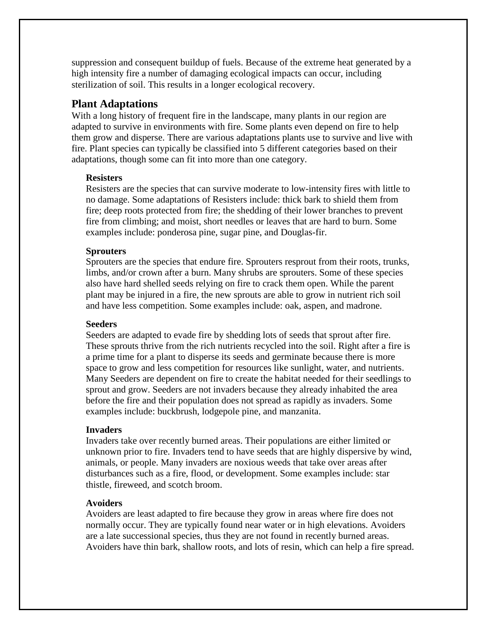suppression and consequent buildup of fuels. Because of the extreme heat generated by a high intensity fire a number of damaging ecological impacts can occur, including sterilization of soil. This results in a longer ecological recovery.

## **Plant Adaptations**

With a long history of frequent fire in the landscape, many plants in our region are adapted to survive in environments with fire. Some plants even depend on fire to help them grow and disperse. There are various adaptations plants use to survive and live with fire. Plant species can typically be classified into 5 different categories based on their adaptations, though some can fit into more than one category.

## **Resisters**

Resisters are the species that can survive moderate to low-intensity fires with little to no damage. Some adaptations of Resisters include: thick bark to shield them from fire; deep roots protected from fire; the shedding of their lower branches to prevent fire from climbing; and moist, short needles or leaves that are hard to burn. Some examples include: ponderosa pine, sugar pine, and Douglas-fir.

## **Sprouters**

Sprouters are the species that endure fire. Sprouters resprout from their roots, trunks, limbs, and/or crown after a burn. Many shrubs are sprouters. Some of these species also have hard shelled seeds relying on fire to crack them open. While the parent plant may be injured in a fire, the new sprouts are able to grow in nutrient rich soil and have less competition. Some examples include: oak, aspen, and madrone.

## **Seeders**

Seeders are adapted to evade fire by shedding lots of seeds that sprout after fire. These sprouts thrive from the rich nutrients recycled into the soil. Right after a fire is a prime time for a plant to disperse its seeds and germinate because there is more space to grow and less competition for resources like sunlight, water, and nutrients. Many Seeders are dependent on fire to create the habitat needed for their seedlings to sprout and grow. Seeders are not invaders because they already inhabited the area before the fire and their population does not spread as rapidly as invaders. Some examples include: buckbrush, lodgepole pine, and manzanita.

## **Invaders**

Invaders take over recently burned areas. Their populations are either limited or unknown prior to fire. Invaders tend to have seeds that are highly dispersive by wind, animals, or people. Many invaders are noxious weeds that take over areas after disturbances such as a fire, flood, or development. Some examples include: star thistle, fireweed, and scotch broom.

## **Avoiders**

Avoiders are least adapted to fire because they grow in areas where fire does not normally occur. They are typically found near water or in high elevations. Avoiders are a late successional species, thus they are not found in recently burned areas. Avoiders have thin bark, shallow roots, and lots of resin, which can help a fire spread.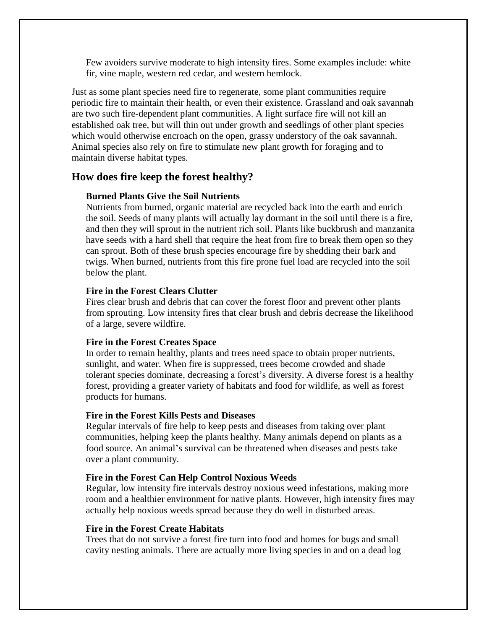Few avoiders survive moderate to high intensity fires. Some examples include: white fir, vine maple, western red cedar, and western hemlock.

Just as some plant species need fire to regenerate, some plant communities require periodic fire to maintain their health, or even their existence. Grassland and oak savannah are two such fire-dependent plant communities. A light surface fire will not kill an established oak tree, but will thin out under growth and seedlings of other plant species which would otherwise encroach on the open, grassy understory of the oak savannah. Animal species also rely on fire to stimulate new plant growth for foraging and to maintain diverse habitat types.

## **How does fire keep the forest healthy?**

## **Burned Plants Give the Soil Nutrients**

Nutrients from burned, organic material are recycled back into the earth and enrich the soil. Seeds of many plants will actually lay dormant in the soil until there is a fire, and then they will sprout in the nutrient rich soil. Plants like buckbrush and manzanita have seeds with a hard shell that require the heat from fire to break them open so they can sprout. Both of these brush species encourage fire by shedding their bark and twigs. When burned, nutrients from this fire prone fuel load are recycled into the soil below the plant.

## **Fire in the Forest Clears Clutter**

Fires clear brush and debris that can cover the forest floor and prevent other plants from sprouting. Low intensity fires that clear brush and debris decrease the likelihood of a large, severe wildfire.

## **Fire in the Forest Creates Space**

In order to remain healthy, plants and trees need space to obtain proper nutrients, sunlight, and water. When fire is suppressed, trees become crowded and shade tolerant species dominate, decreasing a forest's diversity. A diverse forest is a healthy forest, providing a greater variety of habitats and food for wildlife, as well as forest products for humans.

#### **Fire in the Forest Kills Pests and Diseases**

Regular intervals of fire help to keep pests and diseases from taking over plant communities, helping keep the plants healthy. Many animals depend on plants as a food source. An animal's survival can be threatened when diseases and pests take over a plant community.

#### **Fire in the Forest Can Help Control Noxious Weeds**

Regular, low intensity fire intervals destroy noxious weed infestations, making more room and a healthier environment for native plants. However, high intensity fires may actually help noxious weeds spread because they do well in disturbed areas.

## **Fire in the Forest Create Habitats**

Trees that do not survive a forest fire turn into food and homes for bugs and small cavity nesting animals. There are actually more living species in and on a dead log